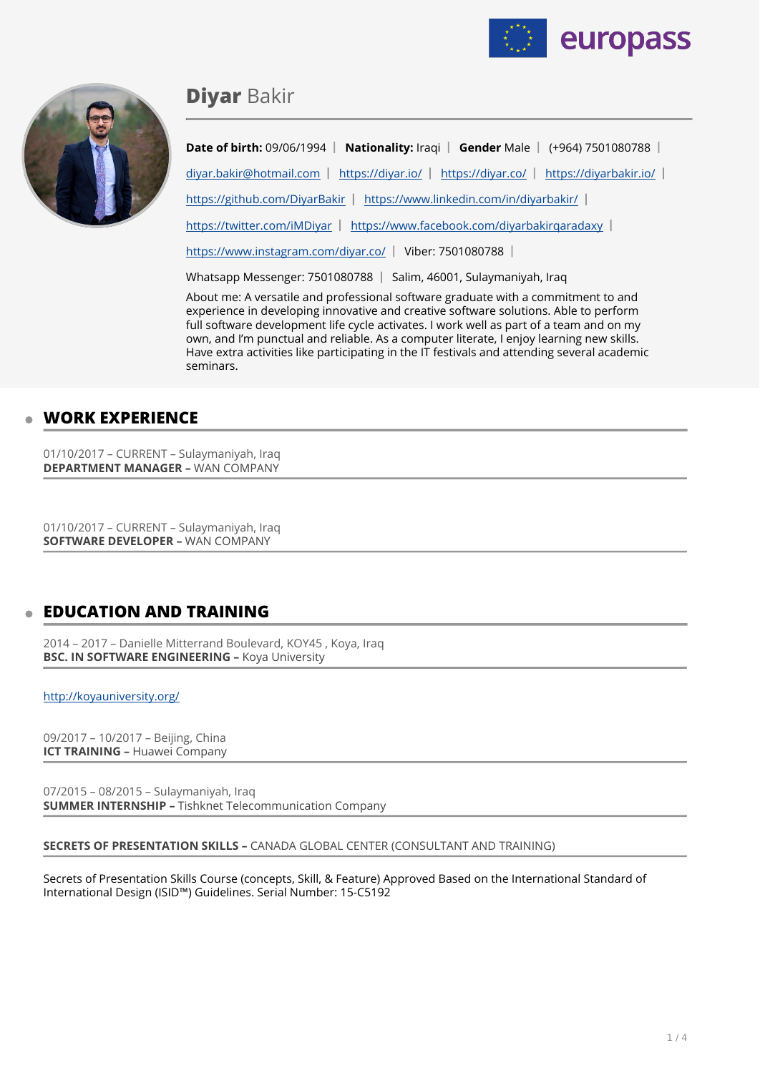



# **Diyar** Bakir

**Date of birth:** 09/06/1994 | **Nationality:** Iraqi | **Gender** Male | (+964) 7501080788 | [diyar.bakir@hotmail.com](mailto:diyar.bakir@hotmail.com) | <https://diyar.io/>| <https://diyar.co/> | <https://diyarbakir.io/> | <https://github.com/DiyarBakir>| <https://www.linkedin.com/in/diyarbakir/> | <https://twitter.com/iMDiyar> | <https://www.facebook.com/diyarbakirqaradaxy>| <https://www.instagram.com/diyar.co/>| Viber: 7501080788 |

Whatsapp Messenger: 7501080788 | Salim, 46001, Sulaymaniyah, Iraq

About me: A versatile and professional software graduate with a commitment to and experience in developing innovative and creative software solutions. Able to perform full software development life cycle activates. I work well as part of a team and on my own, and I'm punctual and reliable. As a computer literate, I enjoy learning new skills. Have extra activities like participating in the IT festivals and attending several academic seminars.

# **WORK EXPERIENCE**

01/10/2017 – CURRENT – Sulaymaniyah, Iraq **DEPARTMENT MANAGER –** WAN COMPANY

01/10/2017 – CURRENT – Sulaymaniyah, Iraq **SOFTWARE DEVELOPER - WAN COMPANY** 

# **EDUCATION AND TRAINING**

2014 – 2017 – Danielle Mitterrand Boulevard, KOY45 , Koya, Iraq **BSC. IN SOFTWARE ENGINEERING –** Koya University

<http://koyauniversity.org/>

09/2017 – 10/2017 – Beijing, China **ICT TRAINING –** Huawei Company

07/2015 – 08/2015 – Sulaymaniyah, Iraq **SUMMER INTERNSHIP –** Tishknet Telecommunication Company

### **SECRETS OF PRESENTATION SKILLS –** CANADA GLOBAL CENTER (CONSULTANT AND TRAINING)

Secrets of Presentation Skills Course (concepts, Skill, & Feature) Approved Based on the International Standard of International Design (ISID™) Guidelines. Serial Number: 15-C5192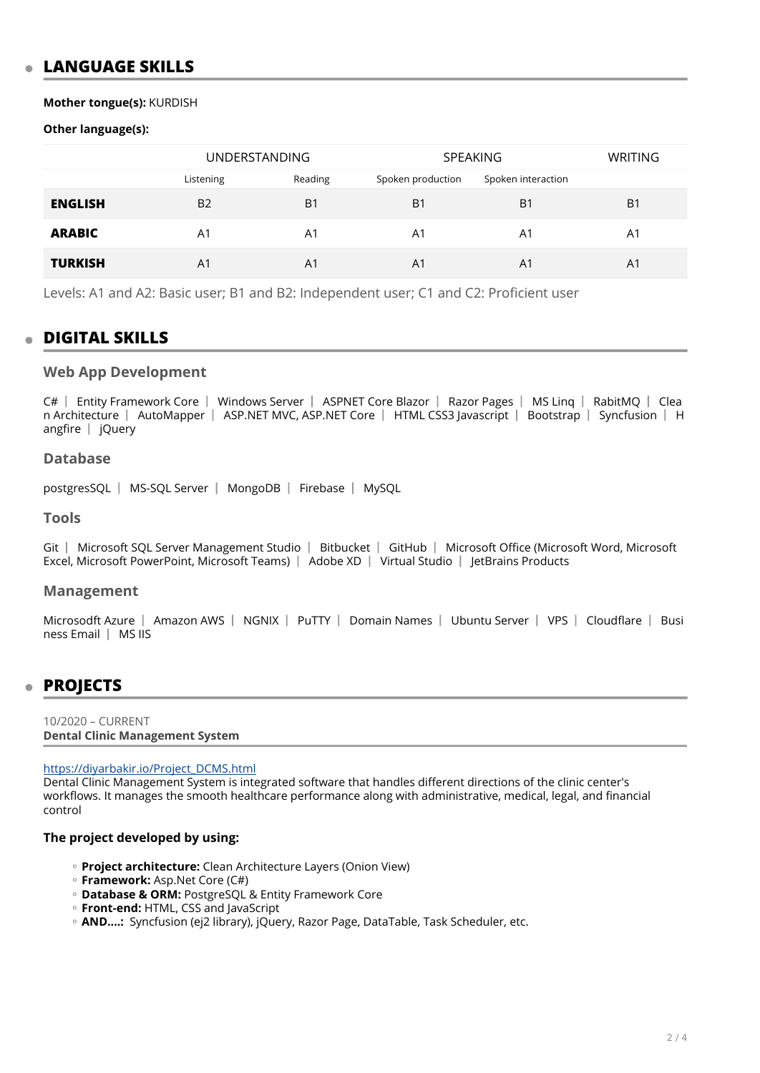# **LANGUAGE SKILLS**

### Mother tongue(s): KURDISH

# Other language(s):

|                | <b>UNDERSTANDING</b> |                | <b>SPEAKING</b>   |                    | <b>WRITING</b> |
|----------------|----------------------|----------------|-------------------|--------------------|----------------|
|                | Listening            | Reading        | Spoken production | Spoken interaction |                |
| <b>ENGLISH</b> | <b>B2</b>            | B <sub>1</sub> | B <sub>1</sub>    | B <sub>1</sub>     | B <sub>1</sub> |
| <b>ARABIC</b>  | A1                   | A1             | A1                | A1                 | A1             |
| <b>TURKISH</b> | A1                   | A <sub>1</sub> | A <sub>1</sub>    | A <sub>1</sub>     | A <sub>1</sub> |

Levels: A1 and A2: Basic user; B1 and B2: Independent user; C1 and C2: Proficient user

# **DIGITAL SKILLS**

# **Web App Development**

C# | Entity Framework Core | Windows Server | ASPNET Core Blazor | Razor Pages | MS Ling | RabitMQ | Clea n Architecture | AutoMapper | ASP.NET MVC, ASP.NET Core | HTML CSS3 Javascript | Bootstrap | Syncfusion | H angfire  $|$  jQuery

# **Database**

postgresSQL | MS-SQL Server | MongoDB | Firebase | MySQL

# **Tools**

Git | Microsoft SOL Server Management Studio | Bitbucket | GitHub | Microsoft Office (Microsoft Word, Microsoft Excel, Microsoft PowerPoint, Microsoft Teams) | Adobe XD | Virtual Studio | JetBrains Products

### **Management**

Microsodft Azure | Amazon AWS | NGNIX | PuTTY | Domain Names | Ubuntu Server | VPS | Cloudflare | Busi ness Email | MS IIS

# **PROJECTS**

10/2020 - CURRENT **Dental Clinic Management System** 

### https://diyarbakir.io/Project DCMS.html

Dental Clinic Management System is integrated software that handles different directions of the clinic center's workflows. It manages the smooth healthcare performance along with administrative, medical, legal, and financial control

# The project developed by using:

- · Project architecture: Clean Architecture Layers (Onion View)
- **Framework:** Asp.Net Core (C#)
- **Database & ORM: PostgreSQL & Entity Framework Core**
- <sup>o</sup> Front-end: HTML, CSS and JavaScript
- · AND...: Syncfusion (ej2 library), jQuery, Razor Page, DataTable, Task Scheduler, etc.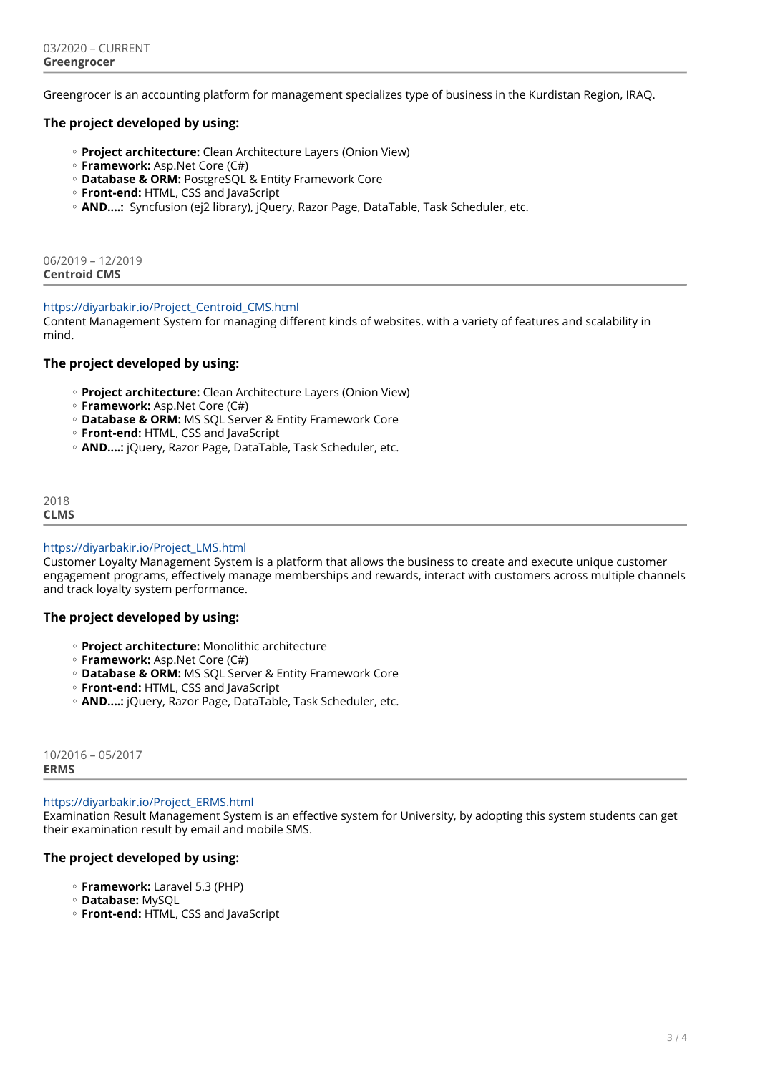Greengrocer is an accounting platform for management specializes type of business in the Kurdistan Region, IRAQ.

# **The project developed by using:**

- **Project architecture:** Clean Architecture Layers (Onion View) ◦
- **Framework:** Asp.Net Core (C#) ◦
- **Database & ORM:** PostgreSQL & Entity Framework Core ◦
- **Front-end:** HTML, CSS and JavaScript ◦
- AND....**:** Syncfusion (ej2 library), jQuery, Razor Page, DataTable, Task Scheduler, etc.

06/2019 – 12/2019 **Centroid CMS** 

### [https://diyarbakir.io/Project\\_Centroid\\_CMS.html](https://diyarbakir.io/Project_Centroid_CMS.html)

Content Management System for managing different kinds of websites. with a variety of features and scalability in mind.

# **The project developed by using:**

- **Project architecture:** Clean Architecture Layers (Onion View) ◦
- **Framework:** Asp.Net Core (C#) ◦
- **Database & ORM:** MS SQL Server & Entity Framework Core ◦
- **Front-end:** HTML, CSS and JavaScript ◦
- **AND....:** jQuery, Razor Page, DataTable, Task Scheduler, etc. ◦

2018 **CLMS** 

### [https://diyarbakir.io/Project\\_LMS.html](https://diyarbakir.io/Project_LMS.html)

Customer Loyalty Management System is a platform that allows the business to create and execute unique customer engagement programs, effectively manage memberships and rewards, interact with customers across multiple channels and track loyalty system performance.

### **The project developed by using:**

- **Project architecture:** Monolithic architecture ◦
- **Framework:** Asp.Net Core (C#) ◦
- **Database & ORM:** MS SQL Server & Entity Framework Core ◦
- **Front-end:** HTML, CSS and JavaScript ◦
- **AND....:** jQuery, Razor Page, DataTable, Task Scheduler, etc. ◦

10/2016 – 05/2017 **ERMS** 

[https://diyarbakir.io/Project\\_ERMS.html](https://diyarbakir.io/Project_ERMS.html)

Examination Result Management System is an effective system for University, by adopting this system students can get their examination result by email and mobile SMS.

# **The project developed by using:**

- **Framework:** Laravel 5.3 (PHP) ◦
- **Database:** MySQL ◦
- **Front-end:** HTML, CSS and JavaScript ◦